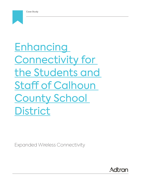

**Enhancing** Connectivity for the Students and Staff of Calhoun County School District

Expanded Wireless Connectivity

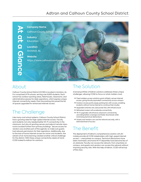## Adtran and Calhoun County School District



## About

Calhoun County School District (CCSD) is located in Anniston, AL. It is comprised of 19 schools, serving over 8,600 students. Each school has outdoor sporting areas, field houses, classrooms, and administrative spaces for daily operations, which express unique internet connectivity needs. Even the parking lots joined the list of spaces upgraded for enhanced internet access.

# The Challenge

Like many rural school systems, Calhoun County School District had a growing need for high-speed internet access. Faculty and students not only needed better Wi-Fi connectivity in the classroom, but also at sporting venues and adjunct remote classrooms located further from primary buildings. Secure access for vendors was another part of the agenda, to make sure guests had network permissions for their operations. Additionally, due to the lack of home internet access for some rural students, the advent of at-home learning created another critical challenge for the district. With these unique connectivity needs at hand, CCSD looked to Adtran for solutions.

## The Solution

A broad portfolio of Adtran solutions addresses these unique challenges, allowing CCSD to focus on what matters most.

- Fixed wireless access solutions grant athletic venues internet access, giving faculty equivalent connectivity across campus
- Outdoor access points equip parking lots with access, enabling students without home internet to continue their studies
- Upgraded switches are used power the LAN infrastructure
- Refreshed routers will accelerate connectivity
- Wi-Fi upgrades will enhance classroom connectivity, providing better coverage and faster downloads while minimizing technical distractions
- Guests and vendors can use the network securely, with a restricted level of access

# The Benefit

The deployment of Adtran's comprehensive solution will ultimately provide all CCSD stakeholders with high-speed internet access — everywhere on campus. Technical distractions have been minimized, and home Wi-Fi disparities have become less of an obstacle. Faculty can access the network, from anywhere on campus, and guests and vendors can access the network without imposing security risks. With the help of Adtran, CCSD will be top of the class.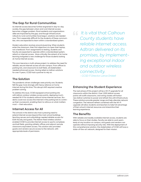### **The Gap for Rural Communities**

As internet access becomes further engrained in day-to-day society, the gap between urban and rural internet access becomes a bigger problem. Rural residents and organizations alike are impacted by the gap, and though infrastructure rollouts to rural communities have begun, solutions are needed now. This is especially difficult for the students of these communities, who are expected to learn within a standardized system.

Modern education revolves around eLearning. When students enter the classroom, their first objective is to open their laptop, not a textbook. From assignments to testing, students and faculty are expected to operate within a standardized system, reliant on internet access. More critically, the advent of at-home learning instigated a new challenge for those students lacking at-home internet access.

This soon became a multi-phase project, to address the need for reliable, secure internet access all over campus. From offices to parking lots, and classrooms to ball fields, all stakeholders needed enhanced access. Having relied on Adtran solutions for over 11 years, CCSD had a partner to rely on.

### **The Solution**

The pandemic driven challenges were priority one. Students felt the gap more strongly with heavy reliance on home internet during this time. This abrupt shift required creative problem solving.

To address this issue, CCSD equipped school parking lots with Adtran outdoor wireless access points, deploying muchneeded Wi-Fi for students without home internet services. Students could now access the internet in the parking lots to continue their coursework, enabling them to refocus on what matters most — their education.

#### **Internet Access for All**

The schools in the district also had a pressing need to extend internet access beyond the main school buildings. Sporting venues and outbuildings needed reliable access for both faculty and guests. The Adtran fixed wireless solution enabled CCSD to provide internet access to sports complexes and ball fields, granting athletic offices and adjunct remote classrooms equivalent access. This solution also provided guests and vendors secure access to the network, with appropriate levels of permission.

 *It is vital that Calhoun County students have reliable internet access. Adtran delivered on its promises, by implementing exceptional indoor and outdoor wireless connectivity. - CCSD IT Director Lance Driskell*

### **Enhancing the Student Experience**

The next phase of this project will be a Wi-Fi upgrade for all classrooms within the district. Over 1,000 Adtran access points will outfit classrooms, and wiring closets will harbor new Adtran switches to power and refresh the LAN infrastructure. These solutions provide greater range and help alleviate network congestion. The network refresh combined with the Wi-Fi upgrade will allow students and teachers to take full advantage of their school's internet resources and streamline their learning experience.

#### **The Benefits**

With reliable and readily available internet access, students are able to focus on their studies, faculty are able to work seamlessly at any location on campus, and guests and vendors can operate without imposing security risks. With the deployment of this comprehensive solution, the stakeholders of CCSD will have a state-of-the-art network, designed for their mission.